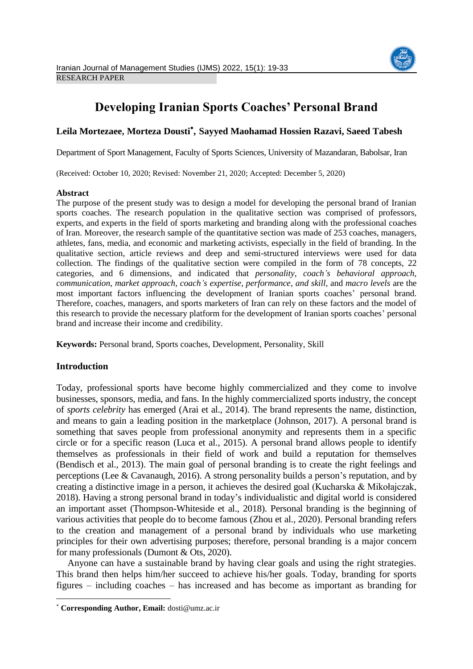

# **Developing Iranian Sports Coaches' Personal Brand**

## **Leila Mortezaee, Morteza Dousti , Sayyed Maohamad Hossien Razavi, Saeed Tabesh**

Department of Sport Management, Faculty of Sports Sciences, University of Mazandaran, Babolsar, Iran

(Received: October 10, 2020; Revised: November 21, 2020; Accepted: December 5, 2020)

#### **Abstract**

The purpose of the present study was to design a model for developing the personal brand of Iranian sports coaches. The research population in the qualitative section was comprised of professors, experts, and experts in the field of sports marketing and branding along with the professional coaches of Iran. Moreover, the research sample of the quantitative section was made of 253 coaches, managers, athletes, fans, media, and economic and marketing activists, especially in the field of branding. In the qualitative section, article reviews and deep and semi-structured interviews were used for data collection. The findings of the qualitative section were compiled in the form of 78 concepts, 22 categories, and 6 dimensions, and indicated that *personality*, *coach's behavioral approach, communication*, *market approach*, *coach's expertise, performance, and skill,* and *macro levels* are the most important factors influencing the development of Iranian sports coaches' personal brand. Therefore, coaches, managers, and sports marketers of Iran can rely on these factors and the model of this research to provide the necessary platform for the development of Iranian sports coaches' personal brand and increase their income and credibility.

**Keywords:** Personal brand, Sports coaches, Development, Personality, Skill

### **Introduction**

 $\overline{\phantom{a}}$ 

Today, professional sports have become highly commercialized and they come to involve businesses, sponsors, media, and fans. In the highly commercialized sports industry, the concept of *sports celebrity* has emerged (Arai et al., 2014). The brand represents the name, distinction, and means to gain a leading position in the marketplace (Johnson, 2017). A personal brand is something that saves people from professional anonymity and represents them in a specific circle or for a specific reason (Luca et al., 2015). A personal brand allows people to identify themselves as professionals in their field of work and build a reputation for themselves (Bendisch et al., 2013). The main goal of personal branding is to create the right feelings and perceptions (Lee & Cavanaugh, 2016). A strong personality builds a person's reputation, and by creating a distinctive image in a person, it achieves the desired goal (Kucharska & Mikołajczak, 2018). Having a strong personal brand in today's individualistic and digital world is considered an important asset (Thompson-Whiteside et al., 2018). Personal branding is the beginning of various activities that people do to become famous (Zhou et al., 2020). Personal branding refers to the creation and management of a personal brand by individuals who use marketing principles for their own advertising purposes; therefore, personal branding is a major concern for many professionals (Dumont & Ots, 2020).

Anyone can have a sustainable brand by having clear goals and using the right strategies. This brand then helps him/her succeed to achieve his/her goals. Today, branding for sports figures – including coaches – has increased and has become as important as branding for

**Corresponding Author, Email:** dosti@umz.ac.ir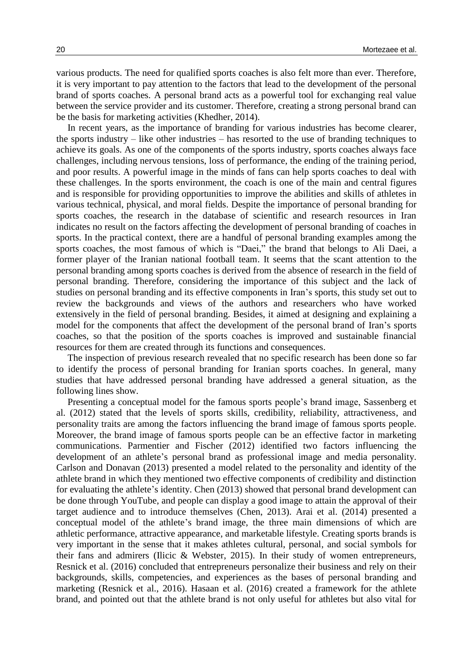various products. The need for qualified sports coaches is also felt more than ever. Therefore, it is very important to pay attention to the factors that lead to the development of the personal brand of sports coaches. A personal brand acts as a powerful tool for exchanging real value between the service provider and its customer. Therefore, creating a strong personal brand can be the basis for marketing activities (Khedher, 2014).

In recent years, as the importance of branding for various industries has become clearer, the sports industry – like other industries – has resorted to the use of branding techniques to achieve its goals. As one of the components of the sports industry, sports coaches always face challenges, including nervous tensions, loss of performance, the ending of the training period, and poor results. A powerful image in the minds of fans can help sports coaches to deal with these challenges. In the sports environment, the coach is one of the main and central figures and is responsible for providing opportunities to improve the abilities and skills of athletes in various technical, physical, and moral fields. Despite the importance of personal branding for sports coaches, the research in the database of scientific and research resources in Iran indicates no result on the factors affecting the development of personal branding of coaches in sports. In the practical context, there are a handful of personal branding examples among the sports coaches, the most famous of which is "Daei," the brand that belongs to Ali Daei, a former player of the Iranian national football team. It seems that the scant attention to the personal branding among sports coaches is derived from the absence of research in the field of personal branding. Therefore, considering the importance of this subject and the lack of studies on personal branding and its effective components in Iran's sports, this study set out to review the backgrounds and views of the authors and researchers who have worked extensively in the field of personal branding. Besides, it aimed at designing and explaining a model for the components that affect the development of the personal brand of Iran's sports coaches, so that the position of the sports coaches is improved and sustainable financial resources for them are created through its functions and consequences.

The inspection of previous research revealed that no specific research has been done so far to identify the process of personal branding for Iranian sports coaches. In general, many studies that have addressed personal branding have addressed a general situation, as the following lines show.

Presenting a conceptual model for the famous sports people's brand image, Sassenberg et al. (2012) stated that the levels of sports skills, credibility, reliability, attractiveness, and personality traits are among the factors influencing the brand image of famous sports people. Moreover, the brand image of famous sports people can be an effective factor in marketing communications. Parmentier and Fischer (2012) identified two factors influencing the development of an athlete's personal brand as professional image and media personality. Carlson and Donavan (2013) presented a model related to the personality and identity of the athlete brand in which they mentioned two effective components of credibility and distinction for evaluating the athlete's identity. Chen (2013) showed that personal brand development can be done through YouTube, and people can display a good image to attain the approval of their target audience and to introduce themselves (Chen, 2013). Arai et al. (2014) presented a conceptual model of the athlete's brand image, the three main dimensions of which are athletic performance, attractive appearance, and marketable lifestyle. Creating sports brands is very important in the sense that it makes athletes cultural, personal, and social symbols for their fans and admirers (Ilicic & Webster, 2015). In their study of women entrepreneurs, Resnick et al. (2016) concluded that entrepreneurs personalize their business and rely on their backgrounds, skills, competencies, and experiences as the bases of personal branding and marketing (Resnick et al., 2016). Hasaan et al. (2016) created a framework for the athlete brand, and pointed out that the athlete brand is not only useful for athletes but also vital for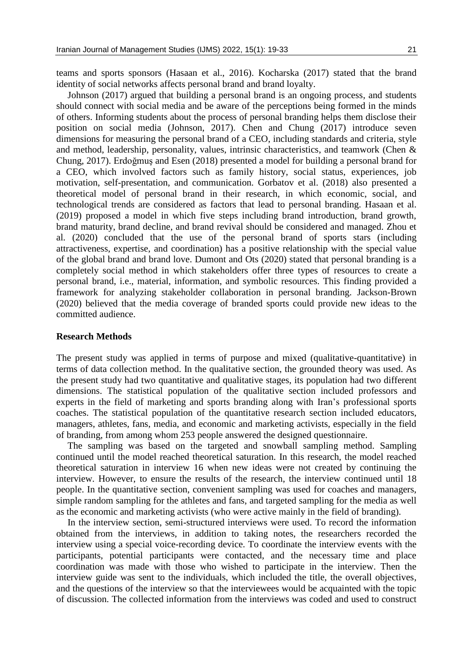teams and sports sponsors (Hasaan et al., 2016). Kocharska (2017) stated that the brand identity of social networks affects personal brand and brand loyalty.

Johnson (2017) argued that building a personal brand is an ongoing process, and students should connect with social media and be aware of the perceptions being formed in the minds of others. Informing students about the process of personal branding helps them disclose their position on social media (Johnson, 2017). Chen and Chung (2017) introduce seven dimensions for measuring the personal brand of a CEO, including standards and criteria, style and method, leadership, personality, values, intrinsic characteristics, and teamwork (Chen & Chung, 2017). Erdoğmuş and Esen (2018) presented a model for building a personal brand for a CEO, which involved factors such as family history, social status, experiences, job motivation, self-presentation, and communication. Gorbatov et al. (2018) also presented a theoretical model of personal brand in their research, in which economic, social, and technological trends are considered as factors that lead to personal branding. Hasaan et al. (2019) proposed a model in which five steps including brand introduction, brand growth, brand maturity, brand decline, and brand revival should be considered and managed. Zhou et al. (2020) concluded that the use of the personal brand of sports stars (including attractiveness, expertise, and coordination) has a positive relationship with the special value of the global brand and brand love. Dumont and Ots (2020) stated that personal branding is a completely social method in which stakeholders offer three types of resources to create a personal brand, i.e., material, information, and symbolic resources. This finding provided a framework for analyzing stakeholder collaboration in personal branding. Jackson-Brown (2020) believed that the media coverage of branded sports could provide new ideas to the committed audience.

#### **Research Methods**

The present study was applied in terms of purpose and mixed (qualitative-quantitative) in terms of data collection method. In the qualitative section, the grounded theory was used. As the present study had two quantitative and qualitative stages, its population had two different dimensions. The statistical population of the qualitative section included professors and experts in the field of marketing and sports branding along with Iran's professional sports coaches. The statistical population of the quantitative research section included educators, managers, athletes, fans, media, and economic and marketing activists, especially in the field of branding, from among whom 253 people answered the designed questionnaire.

The sampling was based on the targeted and snowball sampling method. Sampling continued until the model reached theoretical saturation. In this research, the model reached theoretical saturation in interview 16 when new ideas were not created by continuing the interview. However, to ensure the results of the research, the interview continued until 18 people. In the quantitative section, convenient sampling was used for coaches and managers, simple random sampling for the athletes and fans, and targeted sampling for the media as well as the economic and marketing activists (who were active mainly in the field of branding).

In the interview section, semi-structured interviews were used. To record the information obtained from the interviews, in addition to taking notes, the researchers recorded the interview using a special voice-recording device. To coordinate the interview events with the participants, potential participants were contacted, and the necessary time and place coordination was made with those who wished to participate in the interview. Then the interview guide was sent to the individuals, which included the title, the overall objectives, and the questions of the interview so that the interviewees would be acquainted with the topic of discussion. The collected information from the interviews was coded and used to construct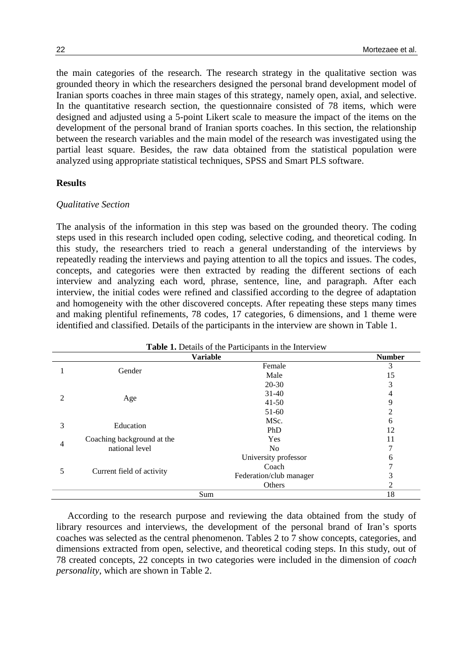the main categories of the research. The research strategy in the qualitative section was grounded theory in which the researchers designed the personal brand development model of Iranian sports coaches in three main stages of this strategy, namely open, axial, and selective. In the quantitative research section, the questionnaire consisted of 78 items, which were designed and adjusted using a 5-point Likert scale to measure the impact of the items on the development of the personal brand of Iranian sports coaches. In this section, the relationship between the research variables and the main model of the research was investigated using the partial least square. Besides, the raw data obtained from the statistical population were analyzed using appropriate statistical techniques, SPSS and Smart PLS software.

#### **Results**

#### *Qualitative Section*

The analysis of the information in this step was based on the grounded theory. The coding steps used in this research included open coding, selective coding, and theoretical coding. In this study, the researchers tried to reach a general understanding of the interviews by repeatedly reading the interviews and paying attention to all the topics and issues. The codes, concepts, and categories were then extracted by reading the different sections of each interview and analyzing each word, phrase, sentence, line, and paragraph. After each interview, the initial codes were refined and classified according to the degree of adaptation and homogeneity with the other discovered concepts. After repeating these steps many times and making plentiful refinements, 78 codes, 17 categories, 6 dimensions, and 1 theme were identified and classified. Details of the participants in the interview are shown in Table 1.

|                                  |                            | <b>Variable</b>         | <b>Number</b> |  |  |
|----------------------------------|----------------------------|-------------------------|---------------|--|--|
|                                  |                            | Female                  | 3             |  |  |
| Gender                           |                            | Male                    | 15            |  |  |
|                                  |                            | $20 - 30$               | 3             |  |  |
|                                  |                            | $31-40$                 | 4             |  |  |
|                                  | Age                        | $41 - 50$               | 9             |  |  |
|                                  |                            | $51-60$                 | 2             |  |  |
| 3<br>Education                   |                            | MSc.                    | 6             |  |  |
|                                  |                            | PhD                     | 12            |  |  |
|                                  | Coaching background at the | Yes                     | 11            |  |  |
| $\overline{4}$<br>national level |                            | No                      |               |  |  |
|                                  |                            | University professor    | 6             |  |  |
| 5                                |                            | Coach                   |               |  |  |
|                                  | Current field of activity  | Federation/club manager | 3             |  |  |
|                                  |                            | Others                  | 2             |  |  |
|                                  | 18<br>Sum                  |                         |               |  |  |

**Table 1.** Details of the Participants in the Interview

According to the research purpose and reviewing the data obtained from the study of library resources and interviews, the development of the personal brand of Iran's sports coaches was selected as the central phenomenon. Tables 2 to 7 show concepts, categories, and dimensions extracted from open, selective, and theoretical coding steps. In this study, out of 78 created concepts, 22 concepts in two categories were included in the dimension of *coach personality*, which are shown in Table 2.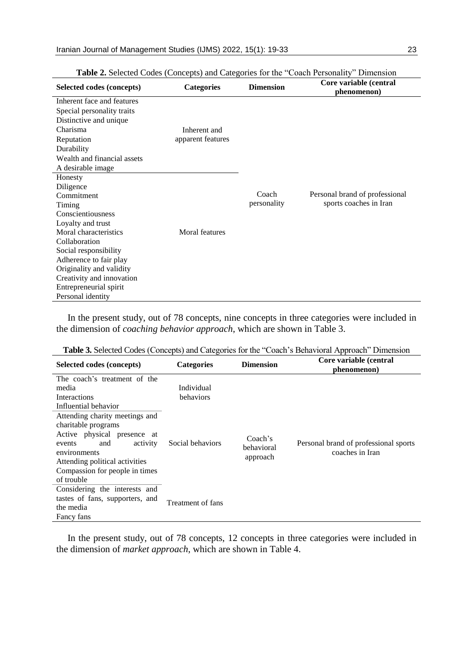| Selected codes (concepts)   | <b>Categories</b> | <b>Dimension</b> | Core variable (central<br>phenomenon) |
|-----------------------------|-------------------|------------------|---------------------------------------|
| Inherent face and features  |                   |                  |                                       |
| Special personality traits  |                   |                  |                                       |
| Distinctive and unique      |                   |                  |                                       |
| Charisma                    | Inherent and      |                  |                                       |
| Reputation                  | apparent features |                  |                                       |
| Durability                  |                   |                  |                                       |
| Wealth and financial assets |                   |                  |                                       |
| A desirable image           |                   |                  |                                       |
| Honesty                     |                   |                  |                                       |
| Diligence                   |                   |                  |                                       |
| Commitment                  |                   | Coach            | Personal brand of professional        |
| Timing                      |                   | personality      | sports coaches in Iran                |
| Conscientiousness           |                   |                  |                                       |
| Loyalty and trust           |                   |                  |                                       |
| Moral characteristics       | Moral features    |                  |                                       |
| Collaboration               |                   |                  |                                       |
| Social responsibility       |                   |                  |                                       |
| Adherence to fair play      |                   |                  |                                       |
| Originality and validity    |                   |                  |                                       |
| Creativity and innovation   |                   |                  |                                       |
| Entrepreneurial spirit      |                   |                  |                                       |
| Personal identity           |                   |                  |                                       |

**Table 2.** Selected Codes (Concepts) and Categories for the "Coach Personality" Dimension

In the present study, out of 78 concepts, nine concepts in three categories were included in the dimension of *coaching behavior approach*, which are shown in Table 3.

|  |  | <b>Table 3.</b> Selected Codes (Concepts) and Categories for the "Coach's Behavioral Approach" Dimension |  |
|--|--|----------------------------------------------------------------------------------------------------------|--|
|  |  |                                                                                                          |  |

| Selected codes (concepts)       | <b>Categories</b> | <b>Dimension</b> | Core variable (central<br>phenomenon) |
|---------------------------------|-------------------|------------------|---------------------------------------|
| The coach's treatment of the    |                   |                  |                                       |
| media                           | Individual        |                  |                                       |
| Interactions                    | behaviors         |                  |                                       |
| Influential behavior            |                   |                  |                                       |
| Attending charity meetings and  |                   |                  |                                       |
| charitable programs             |                   |                  |                                       |
| Active physical presence at     |                   | Coach's          |                                       |
| activity<br>and<br>events       | Social behaviors  | behavioral       | Personal brand of professional sports |
| environments                    | approach          | coaches in Iran  |                                       |
| Attending political activities  |                   |                  |                                       |
| Compassion for people in times  |                   |                  |                                       |
| of trouble                      |                   |                  |                                       |
| Considering the interests and   |                   |                  |                                       |
| tastes of fans, supporters, and | Treatment of fans |                  |                                       |
| the media                       |                   |                  |                                       |
| Fancy fans                      |                   |                  |                                       |

In the present study, out of 78 concepts, 12 concepts in three categories were included in the dimension of *market approach*, which are shown in Table 4.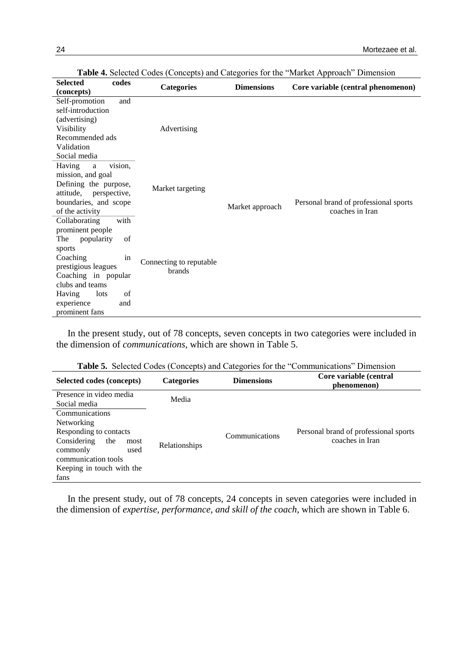| <b>Selected</b><br>codes  | <b>Categories</b>       | <b>Dimensions</b> | Core variable (central phenomenon)    |
|---------------------------|-------------------------|-------------------|---------------------------------------|
| (concepts)                |                         |                   |                                       |
| Self-promotion<br>and     |                         |                   |                                       |
| self-introduction         |                         |                   |                                       |
| (advertising)             |                         |                   |                                       |
| Visibility                | Advertising             |                   |                                       |
| Recommended ads           |                         |                   |                                       |
| Validation                |                         |                   |                                       |
| Social media              |                         |                   |                                       |
| vision,<br>Having<br>a    |                         |                   |                                       |
| mission, and goal         |                         |                   |                                       |
| Defining the purpose,     |                         |                   | Personal brand of professional sports |
| perspective,<br>attitude, | Market targeting        | Market approach   |                                       |
| boundaries, and scope     |                         |                   |                                       |
| of the activity           |                         |                   | coaches in Iran                       |
| with<br>Collaborating     |                         |                   |                                       |
| prominent people          |                         |                   |                                       |
| The<br>popularity<br>of   |                         |                   |                                       |
| sports                    |                         |                   |                                       |
| Coaching<br>in            | Connecting to reputable |                   |                                       |
| prestigious leagues       | brands                  |                   |                                       |
| Coaching in popular       |                         |                   |                                       |
| clubs and teams           |                         |                   |                                       |
| of<br>Having<br>lots      |                         |                   |                                       |
| experience<br>and         |                         |                   |                                       |
| prominent fans            |                         |                   |                                       |

**Table 4.** Selected Codes (Concepts) and Categories for the "Market Approach" Dimension

In the present study, out of 78 concepts, seven concepts in two categories were included in the dimension of *communications*, which are shown in Table 5.

|  |  | <b>Table 5.</b> Selected Codes (Concepts) and Categories for the "Communications" Dimension |  |
|--|--|---------------------------------------------------------------------------------------------|--|

| Selected codes (concepts)                                                                                                                                                   | <b>Categories</b>    | <b>Dimensions</b> | Core variable (central<br>phenomenon)                    |
|-----------------------------------------------------------------------------------------------------------------------------------------------------------------------------|----------------------|-------------------|----------------------------------------------------------|
| Presence in video media<br>Social media                                                                                                                                     | Media                |                   |                                                          |
| Communications<br><b>Networking</b><br>Responding to contacts<br>Considering<br>the<br>most<br>commonly<br>used<br>communication tools<br>Keeping in touch with the<br>fans | <b>Relationships</b> | Communications    | Personal brand of professional sports<br>coaches in Iran |

In the present study, out of 78 concepts, 24 concepts in seven categories were included in the dimension of *expertise, performance, and skill of the coach*, which are shown in Table 6.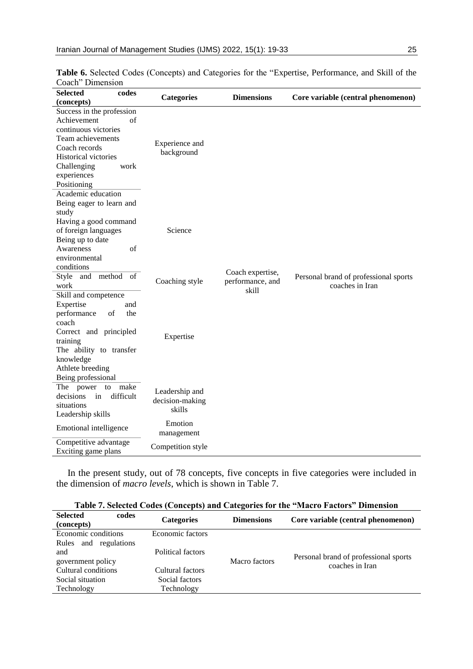| codes<br><b>Selected</b><br>(concepts)                                                                                                                                                           | <b>Categories</b>                           | <b>Dimensions</b>                             | Core variable (central phenomenon)                       |
|--------------------------------------------------------------------------------------------------------------------------------------------------------------------------------------------------|---------------------------------------------|-----------------------------------------------|----------------------------------------------------------|
| Success in the profession<br>Achievement<br>of<br>continuous victories<br>Team achievements<br>Coach records<br><b>Historical victories</b><br>Challenging<br>work<br>experiences<br>Positioning | Experience and<br>background                |                                               |                                                          |
| Academic education<br>Being eager to learn and<br>study<br>Having a good command<br>of foreign languages<br>Being up to date<br>Awareness<br>of<br>environmental<br>conditions                   | Science                                     |                                               |                                                          |
| Style and method of<br>work<br>Skill and competence<br>Expertise<br>and<br>performance<br>of<br>the<br>coach                                                                                     | Coaching style                              | Coach expertise,<br>performance, and<br>skill | Personal brand of professional sports<br>coaches in Iran |
| Correct and principled<br>training<br>The ability to transfer<br>knowledge<br>Athlete breeding<br>Being professional                                                                             | Expertise                                   |                                               |                                                          |
| The power<br>to<br>make<br>decisions<br>difficult<br>in<br>situations<br>Leadership skills                                                                                                       | Leadership and<br>decision-making<br>skills |                                               |                                                          |
| Emotional intelligence                                                                                                                                                                           | Emotion<br>management                       |                                               |                                                          |
| Competitive advantage<br>Exciting game plans                                                                                                                                                     | Competition style                           |                                               |                                                          |

**Table 6.** Selected Codes (Concepts) and Categories for the "Expertise, Performance, and Skill of the Coach" Dimension

In the present study, out of 78 concepts, five concepts in five categories were included in the dimension of *macro levels*, which is shown in Table 7.

| Table 7. Selected Codes (Concepts) and Categories for the "Macro Factors" Dimension |  |  |
|-------------------------------------------------------------------------------------|--|--|
|                                                                                     |  |  |

| <b>Selected</b><br>codes<br>(concepts) | <b>Categories</b> | <b>Dimensions</b> | Core variable (central phenomenon)    |
|----------------------------------------|-------------------|-------------------|---------------------------------------|
| Economic conditions                    | Economic factors  |                   |                                       |
| and regulations<br>Rules               |                   |                   |                                       |
| and                                    | Political factors |                   | Personal brand of professional sports |
| government policy                      |                   | Macro factors     | coaches in Iran                       |
| Cultural conditions                    | Cultural factors  |                   |                                       |
| Social situation                       | Social factors    |                   |                                       |
| Technology                             | Technology        |                   |                                       |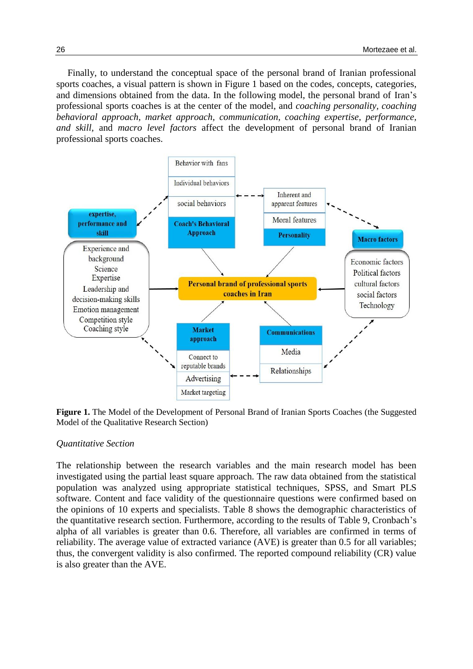Finally, to understand the conceptual space of the personal brand of Iranian professional sports coaches, a visual pattern is shown in Figure 1 based on the codes, concepts, categories, and dimensions obtained from the data. In the following model, the personal brand of Iran's professional sports coaches is at the center of the model, and *coaching personality, coaching behavioral approach, market approach, communication, coaching expertise, performance, and skill,* and *macro level factors* affect the development of personal brand of Iranian professional sports coaches.



**Figure 1.** The Model of the Development of Personal Brand of Iranian Sports Coaches (the Suggested Model of the Qualitative Research Section)

#### *Quantitative Section*

The relationship between the research variables and the main research model has been investigated using the partial least square approach. The raw data obtained from the statistical population was analyzed using appropriate statistical techniques, SPSS, and Smart PLS software. Content and face validity of the questionnaire questions were confirmed based on the opinions of 10 experts and specialists. Table 8 shows the demographic characteristics of the quantitative research section. Furthermore, according to the results of Table 9, Cronbach's alpha of all variables is greater than 0.6. Therefore, all variables are confirmed in terms of reliability. The average value of extracted variance (AVE) is greater than 0.5 for all variables; thus, the convergent validity is also confirmed. The reported compound reliability (CR) value is also greater than the AVE.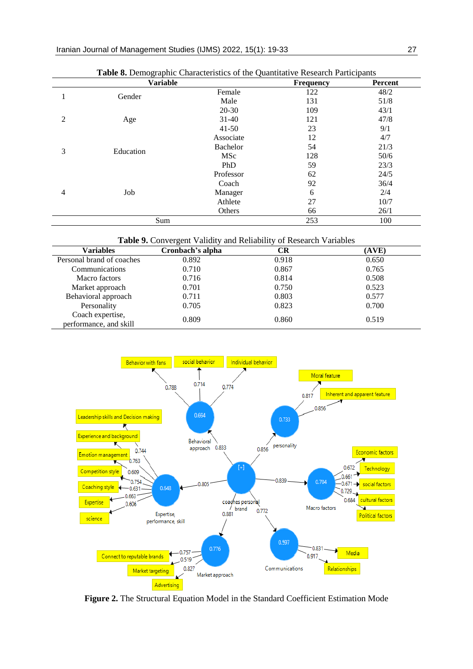|   | <b>Tuble of Bennegrapine Characteribile</b> of the<br><b>Variable</b> |            | Frequency | Percent |
|---|-----------------------------------------------------------------------|------------|-----------|---------|
|   |                                                                       | Female     | 122       | 48/2    |
| 1 | Gender                                                                | Male       | 131       | 51/8    |
|   |                                                                       | $20-30$    | 109       | 43/1    |
| 2 | Age                                                                   | $31-40$    | 121       | 47/8    |
|   |                                                                       | $41 - 50$  | 23        | 9/1     |
|   |                                                                       | Associate  | 12        | 4/7     |
| 3 | Education                                                             | Bachelor   | 54        | 21/3    |
|   |                                                                       | <b>MSc</b> | 128       | 50/6    |
|   |                                                                       | PhD        | 59        | 23/3    |
|   |                                                                       | Professor  | 62        | 24/5    |
|   |                                                                       | Coach      | 92        | 36/4    |
| 4 | Job                                                                   | Manager    | 6         | 2/4     |
|   |                                                                       | Athlete    | 27        | 10/7    |
|   |                                                                       | Others     | 66        | 26/1    |
|   | Sum                                                                   |            | 253       | 100     |

**Table 8.** Demographic Characteristics of the Quantitative Research Participants

**Table 9.** Convergent Validity and Reliability of Research Variables

| <b>Variables</b>                           | Cronbach's alpha | CR    | (AVE) |
|--------------------------------------------|------------------|-------|-------|
| Personal brand of coaches                  | 0.892            | 0.918 | 0.650 |
| Communications                             | 0.710            | 0.867 | 0.765 |
| Macro factors                              | 0.716            | 0.814 | 0.508 |
| Market approach                            | 0.701            | 0.750 | 0.523 |
| Behavioral approach                        | 0.711            | 0.803 | 0.577 |
| Personality                                | 0.705            | 0.823 | 0.700 |
| Coach expertise,<br>performance, and skill | 0.809            | 0.860 | 0.519 |



**Figure 2.** The Structural Equation Model in the Standard Coefficient Estimation Mode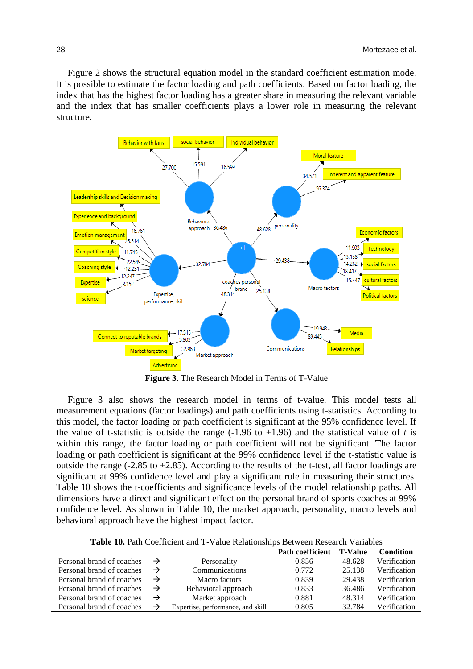Figure 2 shows the structural equation model in the standard coefficient estimation mode. It is possible to estimate the factor loading and path coefficients. Based on factor loading, the index that has the highest factor loading has a greater share in measuring the relevant variable and the index that has smaller coefficients plays a lower role in measuring the relevant structure.



**Figure 3.** The Research Model in Terms of T-Value

Figure 3 also shows the research model in terms of t-value. This model tests all measurement equations (factor loadings) and path coefficients using t-statistics. According to this model, the factor loading or path coefficient is significant at the 95% confidence level. If the value of t-statistic is outside the range  $(-1.96 \text{ to } +1.96)$  and the statistical value of *t* is within this range, the factor loading or path coefficient will not be significant. The factor loading or path coefficient is significant at the 99% confidence level if the t-statistic value is outside the range (-2.85 to +2.85). According to the results of the t-test, all factor loadings are significant at 99% confidence level and play a significant role in measuring their structures. Table 10 shows the t-coefficients and significance levels of the model relationship paths. All dimensions have a direct and significant effect on the personal brand of sports coaches at 99% confidence level. As shown in Table 10, the market approach, personality, macro levels and behavioral approach have the highest impact factor.

**Table 10.** Path Coefficient and T-Value Relationships Between Research Variables

|                           |               |                                   | <b>Path coefficient</b> | <b>T-Value</b> | <b>Condition</b> |
|---------------------------|---------------|-----------------------------------|-------------------------|----------------|------------------|
| Personal brand of coaches | $\rightarrow$ | Personality                       | 0.856                   | 48.628         | Verification     |
| Personal brand of coaches | $\rightarrow$ | Communications                    | 0.772                   | 25.138         | Verification     |
| Personal brand of coaches | $\rightarrow$ | Macro factors                     | 0.839                   | 29.438         | Verification     |
| Personal brand of coaches | $\rightarrow$ | Behavioral approach               | 0.833                   | 36.486         | Verification     |
| Personal brand of coaches | $\rightarrow$ | Market approach                   | 0.881                   | 48.314         | Verification     |
| Personal brand of coaches | $\rightarrow$ | Expertise, performance, and skill | 0.805                   | 32.784         | Verification     |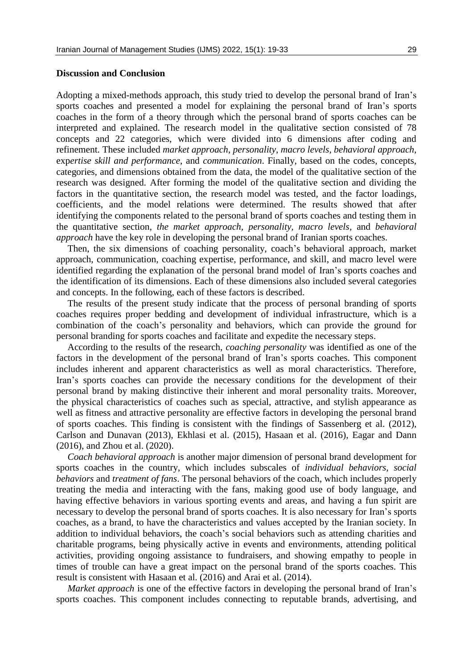#### **Discussion and Conclusion**

Adopting a mixed-methods approach, this study tried to develop the personal brand of Iran's sports coaches and presented a model for explaining the personal brand of Iran's sports coaches in the form of a theory through which the personal brand of sports coaches can be interpreted and explained. The research model in the qualitative section consisted of 78 concepts and 22 categories, which were divided into 6 dimensions after coding and refinement. These included *market approach*, *personality*, *macro levels*, *behavioral approach*, exp*ertise skill and performance*, and *communication*. Finally, based on the codes, concepts, categories, and dimensions obtained from the data, the model of the qualitative section of the research was designed. After forming the model of the qualitative section and dividing the factors in the quantitative section, the research model was tested, and the factor loadings, coefficients, and the model relations were determined. The results showed that after identifying the components related to the personal brand of sports coaches and testing them in the quantitative section, *the market approach, personality, macro levels,* and *behavioral approach* have the key role in developing the personal brand of Iranian sports coaches.

Then, the six dimensions of coaching personality, coach's behavioral approach, market approach, communication, coaching expertise, performance, and skill, and macro level were identified regarding the explanation of the personal brand model of Iran's sports coaches and the identification of its dimensions. Each of these dimensions also included several categories and concepts. In the following, each of these factors is described.

The results of the present study indicate that the process of personal branding of sports coaches requires proper bedding and development of individual infrastructure, which is a combination of the coach's personality and behaviors, which can provide the ground for personal branding for sports coaches and facilitate and expedite the necessary steps.

According to the results of the research, *coaching personality* was identified as one of the factors in the development of the personal brand of Iran's sports coaches. This component includes inherent and apparent characteristics as well as moral characteristics. Therefore, Iran's sports coaches can provide the necessary conditions for the development of their personal brand by making distinctive their inherent and moral personality traits. Moreover, the physical characteristics of coaches such as special, attractive, and stylish appearance as well as fitness and attractive personality are effective factors in developing the personal brand of sports coaches. This finding is consistent with the findings of Sassenberg et al. (2012), Carlson and Dunavan (2013), Ekhlasi et al. (2015), Hasaan et al. (2016), Eagar and Dann (2016), and Zhou et al. (2020).

*Coach behavioral approach* is another major dimension of personal brand development for sports coaches in the country, which includes subscales of *individual behaviors, social behaviors* and *treatment of fans*. The personal behaviors of the coach, which includes properly treating the media and interacting with the fans, making good use of body language, and having effective behaviors in various sporting events and areas, and having a fun spirit are necessary to develop the personal brand of sports coaches. It is also necessary for Iran's sports coaches, as a brand, to have the characteristics and values accepted by the Iranian society. In addition to individual behaviors, the coach's social behaviors such as attending charities and charitable programs, being physically active in events and environments, attending political activities, providing ongoing assistance to fundraisers, and showing empathy to people in times of trouble can have a great impact on the personal brand of the sports coaches. This result is consistent with Hasaan et al. (2016) and Arai et al. (2014).

*Market approach* is one of the effective factors in developing the personal brand of Iran's sports coaches. This component includes connecting to reputable brands, advertising, and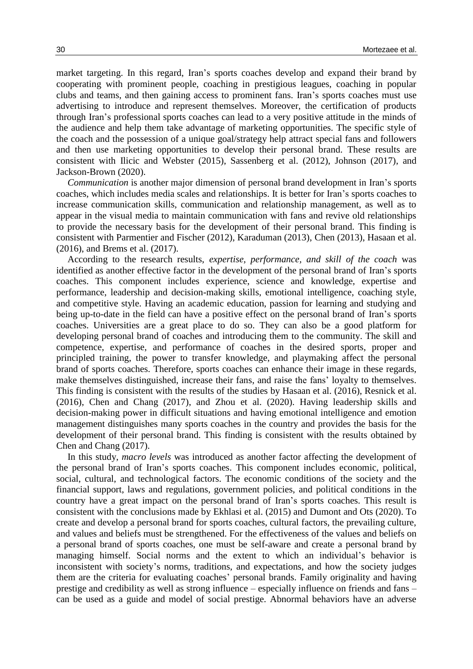market targeting. In this regard, Iran's sports coaches develop and expand their brand by cooperating with prominent people, coaching in prestigious leagues, coaching in popular clubs and teams, and then gaining access to prominent fans. Iran's sports coaches must use advertising to introduce and represent themselves. Moreover, the certification of products through Iran's professional sports coaches can lead to a very positive attitude in the minds of the audience and help them take advantage of marketing opportunities. The specific style of the coach and the possession of a unique goal/strategy help attract special fans and followers and then use marketing opportunities to develop their personal brand. These results are consistent with Ilicic and Webster (2015), Sassenberg et al. (2012), Johnson (2017), and Jackson-Brown (2020).

*Communication* is another major dimension of personal brand development in Iran's sports coaches, which includes media scales and relationships. It is better for Iran's sports coaches to increase communication skills, communication and relationship management, as well as to appear in the visual media to maintain communication with fans and revive old relationships to provide the necessary basis for the development of their personal brand. This finding is consistent with Parmentier and Fischer (2012), Karaduman (2013), Chen (2013), Hasaan et al. (2016), and Brems et al. (2017).

According to the research results, *expertise, performance, and skill of the coach* was identified as another effective factor in the development of the personal brand of Iran's sports coaches. This component includes experience, science and knowledge, expertise and performance, leadership and decision-making skills, emotional intelligence, coaching style, and competitive style. Having an academic education, passion for learning and studying and being up-to-date in the field can have a positive effect on the personal brand of Iran's sports coaches. Universities are a great place to do so. They can also be a good platform for developing personal brand of coaches and introducing them to the community. The skill and competence, expertise, and performance of coaches in the desired sports, proper and principled training, the power to transfer knowledge, and playmaking affect the personal brand of sports coaches. Therefore, sports coaches can enhance their image in these regards, make themselves distinguished, increase their fans, and raise the fans' loyalty to themselves. This finding is consistent with the results of the studies by Hasaan et al. (2016), Resnick et al. (2016), Chen and Chang (2017), and Zhou et al. (2020). Having leadership skills and decision-making power in difficult situations and having emotional intelligence and emotion management distinguishes many sports coaches in the country and provides the basis for the development of their personal brand. This finding is consistent with the results obtained by Chen and Chang (2017).

In this study, *macro levels* was introduced as another factor affecting the development of the personal brand of Iran's sports coaches. This component includes economic, political, social, cultural, and technological factors. The economic conditions of the society and the financial support, laws and regulations, government policies, and political conditions in the country have a great impact on the personal brand of Iran's sports coaches. This result is consistent with the conclusions made by Ekhlasi et al. (2015) and Dumont and Ots (2020). To create and develop a personal brand for sports coaches, cultural factors, the prevailing culture, and values and beliefs must be strengthened. For the effectiveness of the values and beliefs on a personal brand of sports coaches, one must be self-aware and create a personal brand by managing himself. Social norms and the extent to which an individual's behavior is inconsistent with society's norms, traditions, and expectations, and how the society judges them are the criteria for evaluating coaches' personal brands. Family originality and having prestige and credibility as well as strong influence – especially influence on friends and fans – can be used as a guide and model of social prestige. Abnormal behaviors have an adverse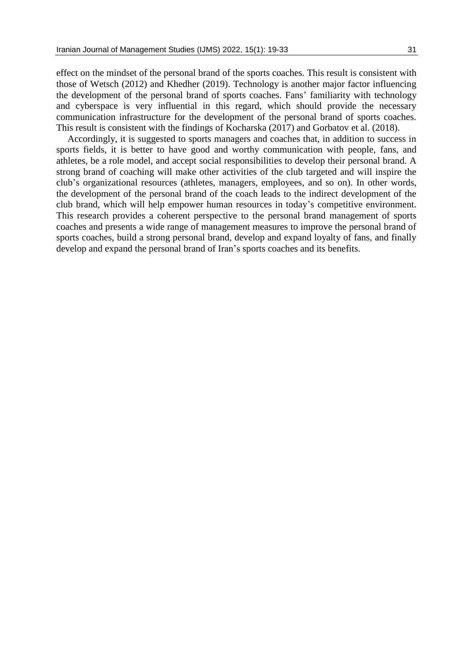effect on the mindset of the personal brand of the sports coaches. This result is consistent with those of Wetsch (2012) and Khedher (2019). Technology is another major factor influencing the development of the personal brand of sports coaches. Fans' familiarity with technology and cyberspace is very influential in this regard, which should provide the necessary communication infrastructure for the development of the personal brand of sports coaches. This result is consistent with the findings of Kocharska (2017) and Gorbatov et al. (2018).

Accordingly, it is suggested to sports managers and coaches that, in addition to success in sports fields, it is better to have good and worthy communication with people, fans, and athletes, be a role model, and accept social responsibilities to develop their personal brand. A strong brand of coaching will make other activities of the club targeted and will inspire the club's organizational resources (athletes, managers, employees, and so on). In other words, the development of the personal brand of the coach leads to the indirect development of the club brand, which will help empower human resources in today's competitive environment. This research provides a coherent perspective to the personal brand management of sports coaches and presents a wide range of management measures to improve the personal brand of sports coaches, build a strong personal brand, develop and expand loyalty of fans, and finally develop and expand the personal brand of Iran's sports coaches and its benefits.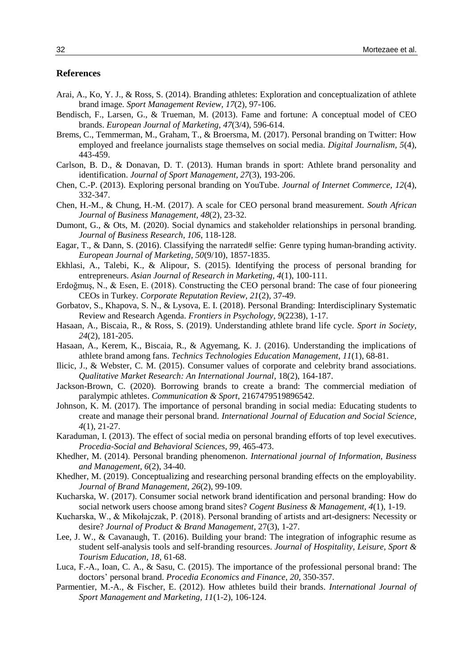#### **References**

- Arai, A., Ko, Y. J., & Ross, S. (2014). Branding athletes: Exploration and conceptualization of athlete brand image. *Sport Management Review, 17*(2), 97-106.
- Bendisch, F., Larsen, G., & Trueman, M. (2013). Fame and fortune: A conceptual model of CEO brands. *European Journal of Marketing, 47*(3/4), 596-614.
- Brems, C., Temmerman, M., Graham, T., & Broersma, M. (2017). Personal branding on Twitter: How employed and freelance journalists stage themselves on social media. *Digital Journalism, 5*(4), 443-459.
- Carlson, B. D., & Donavan, D. T. (2013). Human brands in sport: Athlete brand personality and identification. *Journal of Sport Management, 27*(3), 193-206.
- Chen, C.-P. (2013). Exploring personal branding on YouTube. *Journal of Internet Commerce, 12*(4), 332-347.
- Chen, H.-M., & Chung, H.-M. (2017). A scale for CEO personal brand measurement. *South African Journal of Business Management, 48*(2), 23-32.
- Dumont, G., & Ots, M. (2020). Social dynamics and stakeholder relationships in personal branding. *Journal of Business Research, 106*, 118-128.
- Eagar, T., & Dann, S. (2016). Classifying the narrated# selfie: Genre typing human-branding activity. *European Journal of Marketing, 50*(9/10), 1857-1835.
- Ekhlasi, A., Talebi, K., & Alipour, S. (2015). Identifying the process of personal branding for entrepreneurs. *Asian Journal of Research in Marketing, 4*(1), 100-111.
- Erdoğmuş, N., & Esen, E. (2018). Constructing the CEO personal brand: The case of four pioneering CEOs in Turkey. *Corporate Reputation Review, 21*(2), 37-49.
- Gorbatov, S., Khapova, S. N., & Lysova, E. I. (2018). Personal Branding: Interdisciplinary Systematic Review and Research Agenda. *Frontiers in Psychology, 9*(2238), 1-17.
- Hasaan, A., Biscaia, R., & Ross, S. (2019). Understanding athlete brand life cycle. *Sport in Society, 24*(2), 181-205.
- Hasaan, A., Kerem, K., Biscaia, R., & Agyemang, K. J. (2016). Understanding the implications of athlete brand among fans. *Technics Technologies Education Management, 11*(1), 68-81.
- Ilicic, J., & Webster, C. M. (2015). Consumer values of corporate and celebrity brand associations. *Qualitative Market Research: An International Journal,* 18(2), 164-187.
- Jackson-Brown, C. (2020). Borrowing brands to create a brand: The commercial mediation of paralympic athletes. *Communication & Sport*, 2167479519896542.
- Johnson, K. M. (2017). The importance of personal branding in social media: Educating students to create and manage their personal brand. *International Journal of Education and Social Science, 4*(1), 21-27.
- Karaduman, I. (2013). The effect of social media on personal branding efforts of top level executives. *Procedia-Social and Behavioral Sciences, 99*, 465-473.
- Khedher, M. (2014). Personal branding phenomenon. *International journal of Information, Business and Management, 6*(2), 34-40.
- Khedher, M. (2019). Conceptualizing and researching personal branding effects on the employability. *Journal of Brand Management, 26*(2), 99-109.
- Kucharska, W. (2017). Consumer social network brand identification and personal branding: How do social network users choose among brand sites? *Cogent Business & Management, 4*(1), 1-19.
- Kucharska, W., & Mikołajczak, P. (2018). Personal branding of artists and art-designers: Necessity or desire? *Journal of Product & Brand Management*, 27(3), 1-27.
- Lee, J. W., & Cavanaugh, T. (2016). Building your brand: The integration of infographic resume as student self-analysis tools and self-branding resources. *Journal of Hospitality, Leisure, Sport & Tourism Education, 18*, 61-68.
- Luca, F.-A., Ioan, C. A., & Sasu, C. (2015). The importance of the professional personal brand: The doctors' personal brand. *Procedia Economics and Finance, 20*, 350-357.
- Parmentier, M.-A., & Fischer, E. (2012). How athletes build their brands. *International Journal of Sport Management and Marketing, 11*(1-2), 106-124.